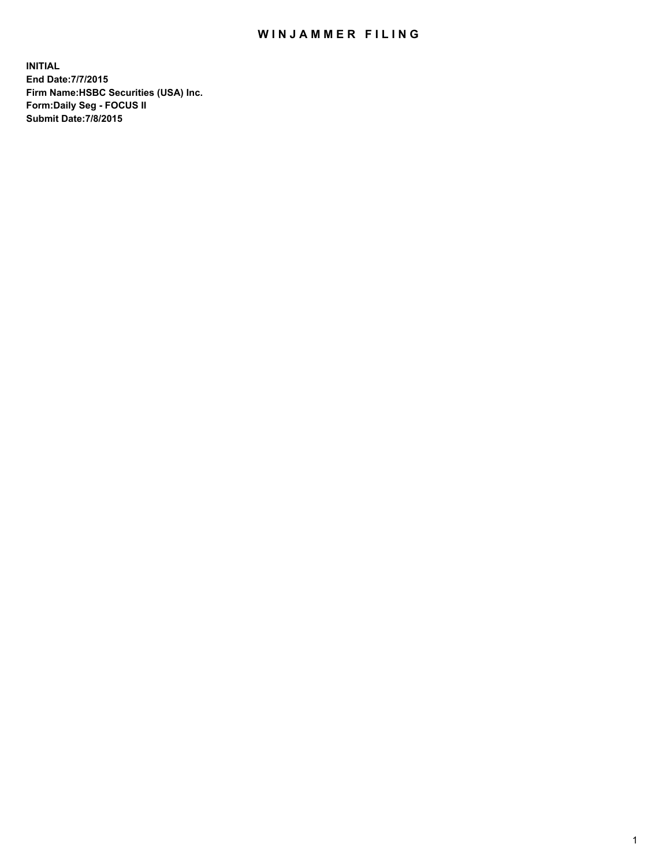## WIN JAMMER FILING

**INITIAL End Date:7/7/2015 Firm Name:HSBC Securities (USA) Inc. Form:Daily Seg - FOCUS II Submit Date:7/8/2015**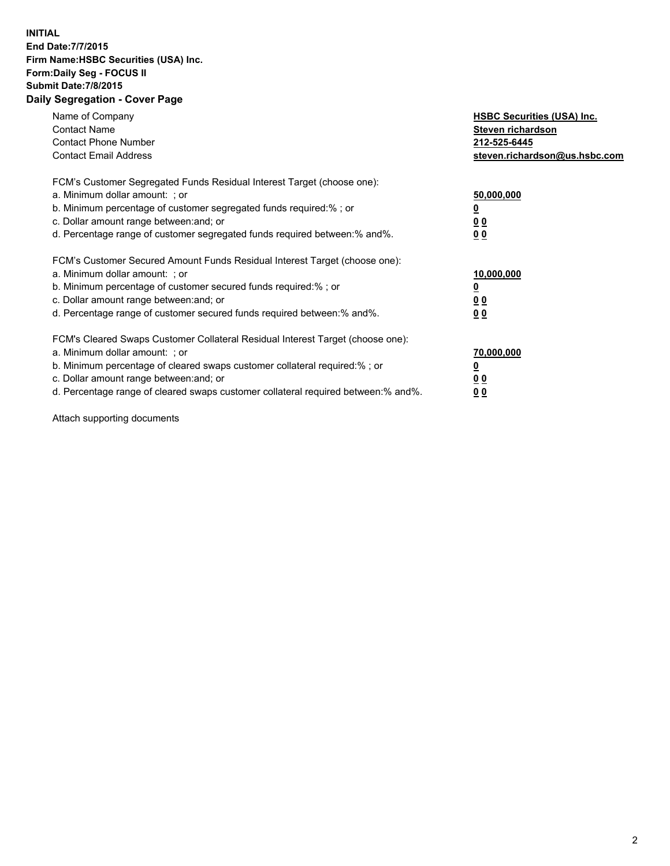## **INITIAL End Date:7/7/2015 Firm Name:HSBC Securities (USA) Inc. Form:Daily Seg - FOCUS II Submit Date:7/8/2015 Daily Segregation - Cover Page**

| Name of Company<br><b>Contact Name</b><br><b>Contact Phone Number</b><br><b>Contact Email Address</b>                                                                                                                                                                                                                         | <b>HSBC Securities (USA) Inc.</b><br>Steven richardson<br>212-525-6445<br>steven.richardson@us.hsbc.com |
|-------------------------------------------------------------------------------------------------------------------------------------------------------------------------------------------------------------------------------------------------------------------------------------------------------------------------------|---------------------------------------------------------------------------------------------------------|
| FCM's Customer Segregated Funds Residual Interest Target (choose one):<br>a. Minimum dollar amount: ; or<br>b. Minimum percentage of customer segregated funds required:%; or<br>c. Dollar amount range between: and; or<br>d. Percentage range of customer segregated funds required between:% and%.                         | 50,000,000<br>00<br>0 <sub>0</sub>                                                                      |
| FCM's Customer Secured Amount Funds Residual Interest Target (choose one):<br>a. Minimum dollar amount: ; or<br>b. Minimum percentage of customer secured funds required:%; or<br>c. Dollar amount range between: and; or<br>d. Percentage range of customer secured funds required between:% and%.                           | 10,000,000<br>0 <sub>0</sub><br>00                                                                      |
| FCM's Cleared Swaps Customer Collateral Residual Interest Target (choose one):<br>a. Minimum dollar amount: ; or<br>b. Minimum percentage of cleared swaps customer collateral required:%; or<br>c. Dollar amount range between: and; or<br>d. Percentage range of cleared swaps customer collateral required between:% and%. | 70,000,000<br><u>00</u><br><u>00</u>                                                                    |

Attach supporting documents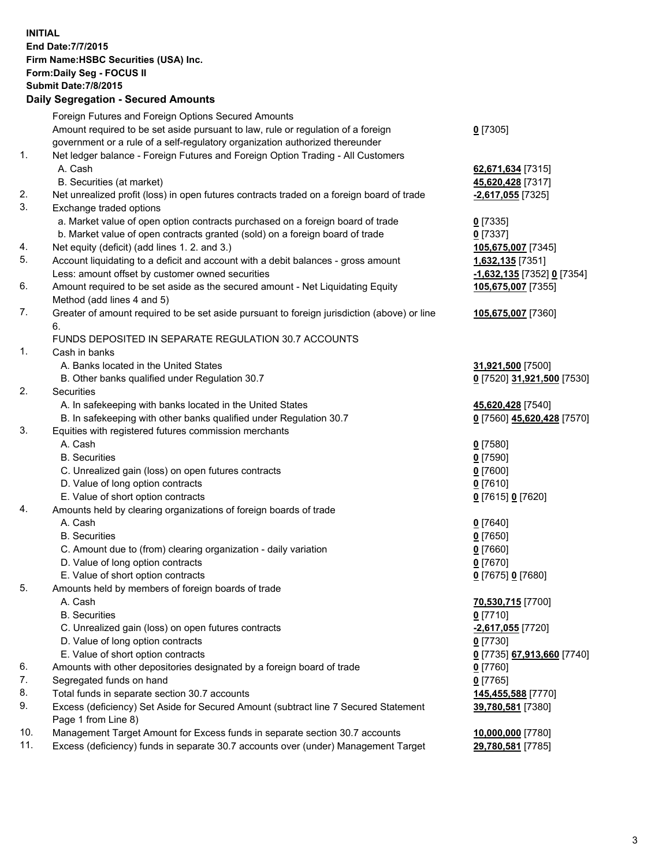**INITIAL End Date:7/7/2015 Firm Name:HSBC Securities (USA) Inc. Form:Daily Seg - FOCUS II Submit Date:7/8/2015 Daily Segregation - Secured Amounts** Foreign Futures and Foreign Options Secured Amounts Amount required to be set aside pursuant to law, rule or regulation of a foreign government or a rule of a self-regulatory organization authorized thereunder **0** [7305] 1. Net ledger balance - Foreign Futures and Foreign Option Trading - All Customers A. Cash **62,671,634** [7315] B. Securities (at market) **45,620,428** [7317] 2. Net unrealized profit (loss) in open futures contracts traded on a foreign board of trade **-2,617,055** [7325] 3. Exchange traded options a. Market value of open option contracts purchased on a foreign board of trade **0** [7335] b. Market value of open contracts granted (sold) on a foreign board of trade **0** [7337] 4. Net equity (deficit) (add lines 1. 2. and 3.) **105,675,007** [7345] 5. Account liquidating to a deficit and account with a debit balances - gross amount **1,632,135** [7351] Less: amount offset by customer owned securities **-1,632,135** [7352] **0** [7354] 6. Amount required to be set aside as the secured amount - Net Liquidating Equity Method (add lines 4 and 5) **105,675,007** [7355] 7. Greater of amount required to be set aside pursuant to foreign jurisdiction (above) or line 6. **105,675,007** [7360] FUNDS DEPOSITED IN SEPARATE REGULATION 30.7 ACCOUNTS 1. Cash in banks A. Banks located in the United States **31,921,500** [7500] B. Other banks qualified under Regulation 30.7 **0** [7520] **31,921,500** [7530] 2. Securities A. In safekeeping with banks located in the United States **45,620,428** [7540] B. In safekeeping with other banks qualified under Regulation 30.7 **0** [7560] **45,620,428** [7570] 3. Equities with registered futures commission merchants A. Cash **0** [7580] B. Securities **0** [7590] C. Unrealized gain (loss) on open futures contracts **0** [7600] D. Value of long option contracts **0** [7610] E. Value of short option contracts **0** [7615] **0** [7620] 4. Amounts held by clearing organizations of foreign boards of trade A. Cash **0** [7640] B. Securities **0** [7650] C. Amount due to (from) clearing organization - daily variation **0** [7660] D. Value of long option contracts **0** [7670] E. Value of short option contracts **0** [7675] **0** [7680] 5. Amounts held by members of foreign boards of trade A. Cash **70,530,715** [7700] B. Securities **0** [7710] C. Unrealized gain (loss) on open futures contracts **-2,617,055** [7720] D. Value of long option contracts **0** [7730] E. Value of short option contracts **0** [7735] **67,913,660** [7740] 6. Amounts with other depositories designated by a foreign board of trade **0** [7760] 7. Segregated funds on hand **0** [7765] 8. Total funds in separate section 30.7 accounts **145,455,588** [7770] 9. Excess (deficiency) Set Aside for Secured Amount (subtract line 7 Secured Statement Page 1 from Line 8) **39,780,581** [7380] 10. Management Target Amount for Excess funds in separate section 30.7 accounts **10,000,000** [7780] 11. Excess (deficiency) funds in separate 30.7 accounts over (under) Management Target **29,780,581** [7785]

3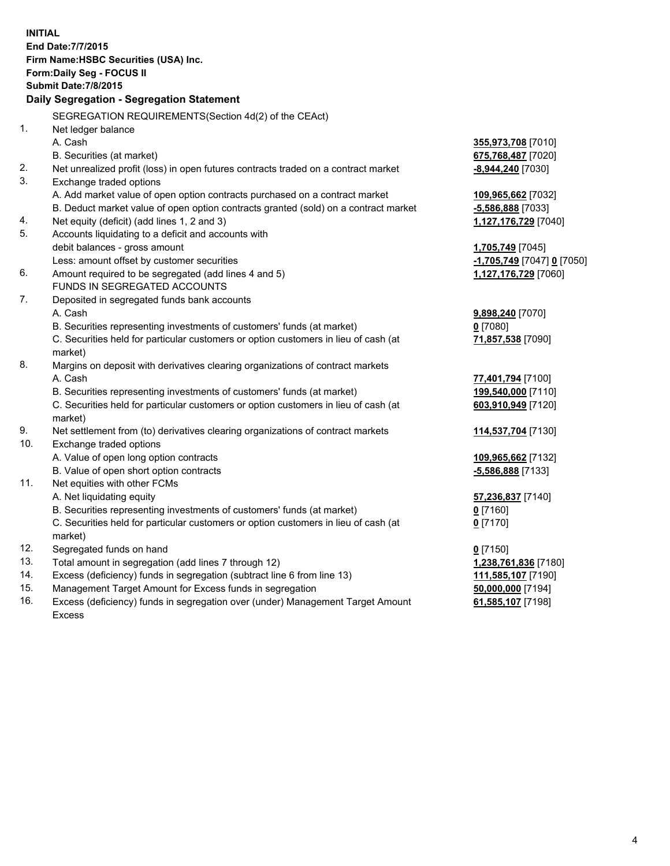| <b>INITIAL</b> | End Date: 7/7/2015<br>Firm Name: HSBC Securities (USA) Inc.<br>Form: Daily Seg - FOCUS II<br><b>Submit Date: 7/8/2015</b><br><b>Daily Segregation - Segregation Statement</b> |                            |
|----------------|-------------------------------------------------------------------------------------------------------------------------------------------------------------------------------|----------------------------|
|                | SEGREGATION REQUIREMENTS(Section 4d(2) of the CEAct)                                                                                                                          |                            |
| 1.             | Net ledger balance                                                                                                                                                            |                            |
|                | A. Cash                                                                                                                                                                       | 355,973,708 [7010]         |
|                | B. Securities (at market)                                                                                                                                                     | 675,768,487 [7020]         |
| 2.             | Net unrealized profit (loss) in open futures contracts traded on a contract market                                                                                            | -8,944,240 [7030]          |
| 3.             | Exchange traded options                                                                                                                                                       |                            |
|                | A. Add market value of open option contracts purchased on a contract market                                                                                                   | 109,965,662 [7032]         |
|                | B. Deduct market value of open option contracts granted (sold) on a contract market                                                                                           | $-5,586,888$ [7033]        |
| 4.             | Net equity (deficit) (add lines 1, 2 and 3)                                                                                                                                   | 1,127,176,729 [7040]       |
| 5.             | Accounts liquidating to a deficit and accounts with                                                                                                                           |                            |
|                | debit balances - gross amount                                                                                                                                                 | 1,705,749 [7045]           |
|                | Less: amount offset by customer securities                                                                                                                                    | -1,705,749 [7047] 0 [7050] |
| 6.             | Amount required to be segregated (add lines 4 and 5)                                                                                                                          | 1,127,176,729 [7060]       |
|                | FUNDS IN SEGREGATED ACCOUNTS                                                                                                                                                  |                            |
| 7.             | Deposited in segregated funds bank accounts                                                                                                                                   |                            |
|                | A. Cash                                                                                                                                                                       | 9,898,240 [7070]           |
|                | B. Securities representing investments of customers' funds (at market)                                                                                                        | $0$ [7080]                 |
|                | C. Securities held for particular customers or option customers in lieu of cash (at<br>market)                                                                                | 71,857,538 [7090]          |
| 8.             | Margins on deposit with derivatives clearing organizations of contract markets                                                                                                |                            |
|                | A. Cash                                                                                                                                                                       | 77,401,794 [7100]          |
|                | B. Securities representing investments of customers' funds (at market)                                                                                                        | 199,540,000 [7110]         |
|                | C. Securities held for particular customers or option customers in lieu of cash (at<br>market)                                                                                | 603,910,949 [7120]         |
| 9.             | Net settlement from (to) derivatives clearing organizations of contract markets                                                                                               | 114,537,704 [7130]         |
| 10.            | Exchange traded options                                                                                                                                                       |                            |
|                | A. Value of open long option contracts                                                                                                                                        | 109,965,662 [7132]         |
|                | B. Value of open short option contracts                                                                                                                                       | -5,586,888 [7133]          |
| 11.            | Net equities with other FCMs                                                                                                                                                  |                            |
|                | A. Net liquidating equity                                                                                                                                                     | 57,236,837 [7140]          |
|                | B. Securities representing investments of customers' funds (at market)                                                                                                        | 0 [7160]                   |
|                | C. Securities held for particular customers or option customers in lieu of cash (at                                                                                           | $0$ [7170]                 |
|                | market)                                                                                                                                                                       |                            |
| 12.            | Segregated funds on hand                                                                                                                                                      | $0$ [7150]                 |
| 13.            | Total amount in segregation (add lines 7 through 12)                                                                                                                          | 1,238,761,836 [7180]       |
| 14.            | Excess (deficiency) funds in segregation (subtract line 6 from line 13)                                                                                                       | 111,585,107 [7190]         |
| 15.            | Management Target Amount for Excess funds in segregation                                                                                                                      | 50,000,000 [7194]          |
| 16.            | Excess (deficiency) funds in segregation over (under) Management Target Amount                                                                                                | 61,585,107 [7198]          |

16. Excess (deficiency) funds in segregation over (under) Management Target Amount Excess